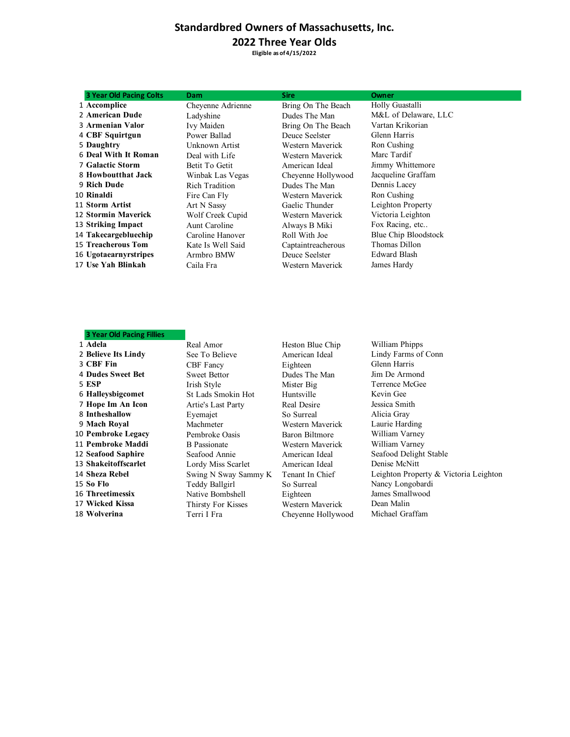### **Standardbred Owners of Massachusetts, Inc.**

#### **2022 Three Year Olds**

**Eligible as of 4/15/2022**

| 3 Year Old Pacing Colts    | <b>Dam</b>        | <b>Sire</b>        | Owner                |
|----------------------------|-------------------|--------------------|----------------------|
| 1 Accomplice               | Cheyenne Adrienne | Bring On The Beach | Holly Guastalli      |
| 2 American Dude            | Ladyshine         | Dudes The Man      | M&L of Delaware, LLC |
| <b>3 Armenian Valor</b>    | Ivy Maiden        | Bring On The Beach | Vartan Krikorian     |
| 4 CBF Squirtgun            | Power Ballad      | Deuce Seelster     | Glenn Harris         |
| 5 Daughtry                 | Unknown Artist    | Western Maverick   | Ron Cushing          |
| 6 Deal With It Roman       | Deal with Life    | Western Maverick   | Marc Tardif          |
| <b>7 Galactic Storm</b>    | Betit To Getit    | American Ideal     | Jimmy Whittemore     |
| 8 Howboutthat Jack         | Winbak Las Vegas  | Cheyenne Hollywood | Jacqueline Graffam   |
| 9 Rich Dude                | Rich Tradition    | Dudes The Man      | Dennis Lacey         |
| 10 Rinaldi                 | Fire Can Fly      | Western Maverick   | Ron Cushing          |
| 11 Storm Artist            | Art N Sassy       | Gaelic Thunder     | Leighton Property    |
| <b>12 Stormin Maverick</b> | Wolf Creek Cupid  | Western Maverick   | Victoria Leighton    |
| 13 Striking Impact         | Aunt Caroline     | Always B Miki      | Fox Racing, etc      |
| 14 Takecargebluechip       | Caroline Hanover  | Roll With Joe      | Blue Chip Bloodstock |
| <b>15 Treacherous Tom</b>  | Kate Is Well Said | Captaintreacherous | Thomas Dillon        |
| 16 Ugotaearnyrstripes      | Armbro BMW        | Deuce Seelster     | Edward Blash         |
| 17 Use Yah Blinkah         | Caila Fra         | Western Maverick   | James Hardy          |
|                            |                   |                    |                      |

#### **3 Year Old Pacing Fillies**

# **Pembroke Legacy** Pembroke Oasis Baron Biltmore William Varney **Pembroke Maddi** B Passionate Western Maverick William Varney **Seafood Saphire** Seafood Annie American Ideal Seafood Delight Stable **Shakeitoffscarlet** Lordy Miss Scarlet American Ideal Denise McNitt 15 **So Flo** Teddy Ballgirl So Surreal Nancy Longobardi<br>16 Threetimessix Native Rombshell Fighteen James Smallwood **Threetimessix** Native Bombshell Eighteen **Wicked Kissa** Thirsty For Kisses Western Maverick Dean Malin

**Adela** Real Amor Heston Blue Chip William Phipps<br>
2 **Believe Its Lindy** See To Believe American Ideal Lindy Farms of **Believe Its Lindy** See To Believe American Ideal Lindy Farms of Conn<br>
2 **CBF Fin** CBF Fancy Bighteen Glenn Harris **3 CBF Fin** CBF Fancy Eighteen Glenn Harris<br> **4 Dudes Sweet Bet** Sweet Rettor Dudes The Man Jim De Armond **Dudes Sweet Bet** Sweet Bettor **Dudes The Man** 5 **ESP** Irish Style Mister Big **ESP** Irish Style Mister Big Terrence McGee<br>
6 **Halleysbigcomet** St Lads Smokin Hot Huntsville Kevin Gee St Lads Smokin Hot Huntsville Kevin Gee<br>
Artie's Last Partv Real Desire Jessica Smith **Hope Im An Icon**<br> **8 Intheshallow**<br> **8 Intheshallow**<br> **Exemple 18 Intheshallow**<br> **Exemple 18 Intheshallow**<br> **Exemple 18 Intheshallow**<br> **Exemple 18 Intheshallow**<br> **Exemple 18 Interval 20 Interval 20 Interval 20 Interval Intheshallow Eyemajet** So Surreal Alicia Gray<br>
9 **Mach Royal** Machmeter **So Surreal** Alicia Gray<br>
19 **Mach Royal** Machmeter **So Surreal** Maverick Laurie Harding Machmeter Western Maverick **Wolverina** Terri I Fra Cheyenne Hollywood Michael Graffam

**Sheza Rebel** Swing N Sway Sammy K Tenant In Chief Leighton Property & Victoria Leighton